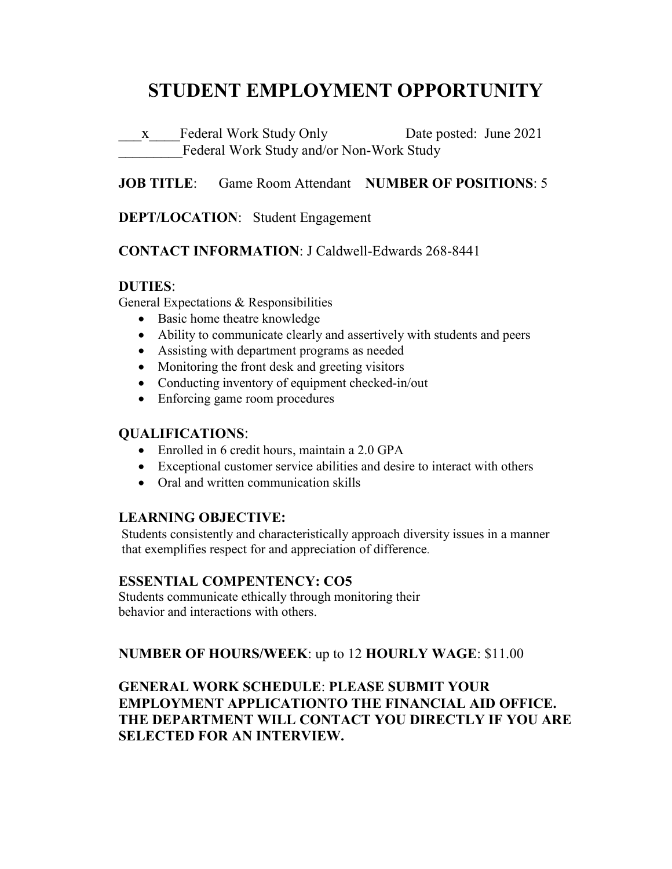# **STUDENT EMPLOYMENT OPPORTUNITY**

\_\_\_x\_\_\_\_Federal Work Study Only Date posted: June 2021 Federal Work Study and/or Non-Work Study

## **JOB TITLE**: Game Room Attendant **NUMBER OF POSITIONS**: 5

## **DEPT/LOCATION**: Student Engagement

#### **CONTACT INFORMATION**: J Caldwell-Edwards 268-8441

#### **DUTIES**:

General Expectations & Responsibilities

- Basic home theatre knowledge
- Ability to communicate clearly and assertively with students and peers
- Assisting with department programs as needed
- Monitoring the front desk and greeting visitors
- Conducting inventory of equipment checked-in/out
- Enforcing game room procedures

## **QUALIFICATIONS**:

- Enrolled in 6 credit hours, maintain a 2.0 GPA
- Exceptional customer service abilities and desire to interact with others
- Oral and written communication skills

## **LEARNING OBJECTIVE:**

Students consistently and characteristically approach diversity issues in a manner that exemplifies respect for and appreciation of difference.

## **ESSENTIAL COMPENTENCY: CO5**

Students communicate ethically through monitoring their behavior and interactions with others.

## **NUMBER OF HOURS/WEEK**: up to 12 **HOURLY WAGE**: \$11.00

**GENERAL WORK SCHEDULE**: **PLEASE SUBMIT YOUR EMPLOYMENT APPLICATIONTO THE FINANCIAL AID OFFICE. THE DEPARTMENT WILL CONTACT YOU DIRECTLY IF YOU ARE SELECTED FOR AN INTERVIEW.**